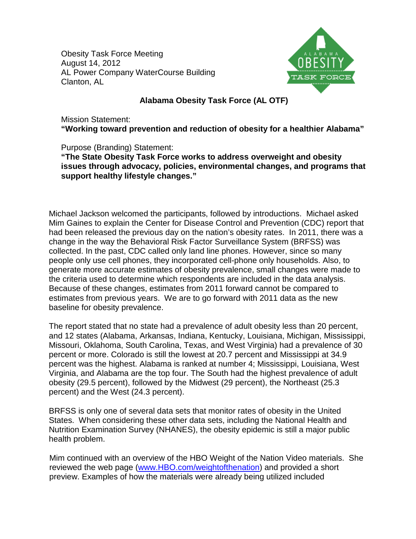Obesity Task Force Meeting August 14, 2012 AL Power Company WaterCourse Building Clanton, AL



## **Alabama Obesity Task Force (AL OTF)**

Mission Statement: **"Working toward prevention and reduction of obesity for a healthier Alabama"**

Purpose (Branding) Statement:

**"The State Obesity Task Force works to address overweight and obesity issues through advocacy, policies, environmental changes, and programs that support healthy lifestyle changes."**

Michael Jackson welcomed the participants, followed by introductions. Michael asked Mim Gaines to explain the Center for Disease Control and Prevention (CDC) report that had been released the previous day on the nation's obesity rates. In 2011, there was a change in the way the Behavioral Risk Factor Surveillance System (BRFSS) was collected. In the past, CDC called only land line phones. However, since so many people only use cell phones, they incorporated cell-phone only households. Also, to generate more accurate estimates of obesity prevalence, small changes were made to the criteria used to determine which respondents are included in the data analysis. Because of these changes, estimates from 2011 forward cannot be compared to estimates from previous years. We are to go forward with 2011 data as the new baseline for obesity prevalence.

The report stated that no state had a prevalence of adult obesity less than 20 percent, and 12 states (Alabama, Arkansas, Indiana, Kentucky, Louisiana, Michigan, Mississippi, Missouri, Oklahoma, South Carolina, Texas, and West Virginia) had a prevalence of 30 percent or more. Colorado is still the lowest at 20.7 percent and Mississippi at 34.9 percent was the highest. Alabama is ranked at number 4; Mississippi, Louisiana, West Virginia, and Alabama are the top four. The South had the highest prevalence of adult obesity (29.5 percent), followed by the Midwest (29 percent), the Northeast (25.3 percent) and the West (24.3 percent).

BRFSS is only one of several data sets that monitor rates of obesity in the United States. When considering these other data sets, including the National Health and Nutrition Examination Survey (NHANES), the obesity epidemic is still a major public health problem.

Mim continued with an overview of the HBO Weight of the Nation Video materials. She reviewed the web page [\(www.HBO.com/weightofthenation\)](http://www.hbo.com/weightofthenation) and provided a short preview. Examples of how the materials were already being utilized included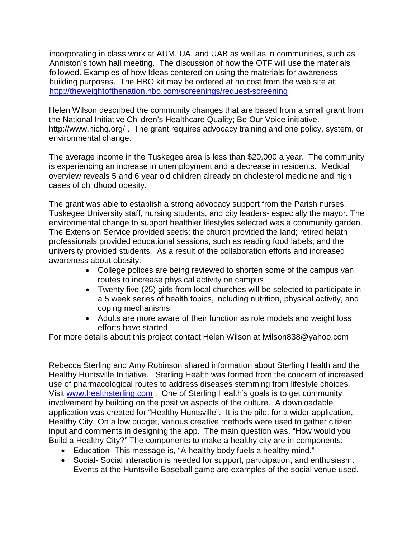incorporating in class work at AUM, UA, and UAB as well as in communities, such as Anniston's town hall meeting. The discussion of how the OTF will use the materials followed. Examples of how Ideas centered on using the materials for awareness building purposes. The HBO kit may be ordered at no cost from the web site at: <http://theweightofthenation.hbo.com/screenings/request-screening>

Helen Wilson described the community changes that are based from a small grant from the National Initiative Children's Healthcare Quality; Be Our Voice initiative. http://www.nichq.org/ . The grant requires advocacy training and one policy, system, or environmental change.

The average income in the Tuskegee area is less than \$20,000 a year. The community is experiencing an increase in unemployment and a decrease in residents. Medical overview reveals 5 and 6 year old children already on cholesterol medicine and high cases of childhood obesity.

The grant was able to establish a strong advocacy support from the Parish nurses, Tuskegee University staff, nursing students, and city leaders- especially the mayor. The environmental change to support healthier lifestyles selected was a community garden. The Extension Service provided seeds; the church provided the land; retired helath professionals provided educational sessions, such as reading food labels; and the university provided students. As a result of the collaboration efforts and increased awareness about obesity:

- College polices are being reviewed to shorten some of the campus van routes to increase physical activity on campus
- Twenty five (25) girls from local churches will be selected to participate in a 5 week series of health topics, including nutrition, physical activity, and coping mechanisms
- Adults are more aware of their function as role models and weight loss efforts have started

For more details about this project contact Helen Wilson at lwilson838@yahoo.com

Rebecca Sterling and Amy Robinson shared information about Sterling Health and the Healthy Huntsville Initiative. Sterling Health was formed from the concern of increased use of pharmacological routes to address diseases stemming from lifestyle choices. Visit [www.healthsterling.com](http://www.healthsterling.com/) . One of Sterling Health's goals is to get community involvement by building on the positive aspects of the culture. A downloadable application was created for "Healthy Huntsville". It is the pilot for a wider application, Healthy City. On a low budget, various creative methods were used to gather citizen input and comments in designing the app. The main question was, "How would you Build a Healthy City?" The components to make a healthy city are in components:

- Education- This message is, "A healthy body fuels a healthy mind."
- Social- Social interaction is needed for support, participation, and enthusiasm. Events at the Huntsville Baseball game are examples of the social venue used.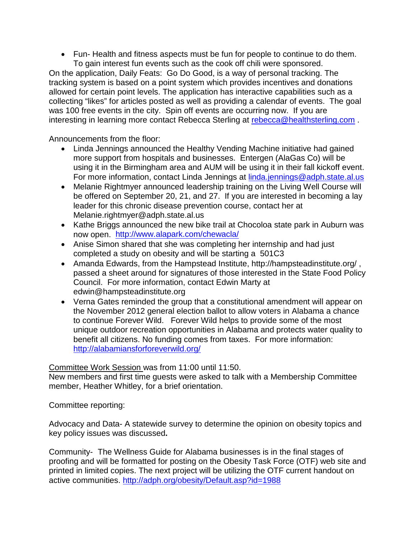• Fun- Health and fitness aspects must be fun for people to continue to do them. To gain interest fun events such as the cook off chili were sponsored.

On the application, Daily Feats: Go Do Good, is a way of personal tracking. The tracking system is based on a point system which provides incentives and donations allowed for certain point levels. The application has interactive capabilities such as a collecting "likes" for articles posted as well as providing a calendar of events. The goal was 100 free events in the city. Spin off events are occurring now. If you are interesting in learning more contact Rebecca Sterling at [rebecca@healthsterling.com](mailto:rebecca@healthsterling.com) .

Announcements from the floor:

- Linda Jennings announced the Healthy Vending Machine initiative had gained more support from hospitals and businesses. Entergen (AlaGas Co) will be using it in the Birmingham area and AUM will be using it in their fall kickoff event. For more information, contact Linda Jennings at [linda.jennings@adph.state.al.us](mailto:linda.jennings@adph.state.al.us)
- Melanie Rightmyer announced leadership training on the Living Well Course will be offered on September 20, 21, and 27. If you are interested in becoming a lay leader for this chronic disease prevention course, contact her at Melanie.rightmyer@adph.state.al.us
- Kathe Briggs announced the new bike trail at Chocoloa state park in Auburn was now open. <http://www.alapark.com/chewacla/>
- Anise Simon shared that she was completing her internship and had just completed a study on obesity and will be starting a 501C3
- Amanda Edwards, from the Hampstead Institute, http://hampsteadinstitute.org/ , passed a sheet around for signatures of those interested in the State Food Policy Council. For more information, contact Edwin Marty at edwin@hampsteadinstitute.org
- Verna Gates reminded the group that a constitutional amendment will appear on the November 2012 general election ballot to allow voters in Alabama a chance to continue Forever Wild. Forever Wild helps to provide some of the most unique outdoor recreation opportunities in Alabama and protects water quality to benefit all citizens. No funding comes from taxes. For more information: <http://alabamiansforforeverwild.org/>

Committee Work Session was from 11:00 until 11:50.

New members and first time guests were asked to talk with a Membership Committee member, Heather Whitley, for a brief orientation.

Committee reporting:

Advocacy and Data- A statewide survey to determine the opinion on obesity topics and key policy issues was discussed**.** 

Community- The Wellness Guide for Alabama businesses is in the final stages of proofing and will be formatted for posting on the Obesity Task Force (OTF) web site and printed in limited copies. The next project will be utilizing the OTF current handout on active communities.<http://adph.org/obesity/Default.asp?id=1988>